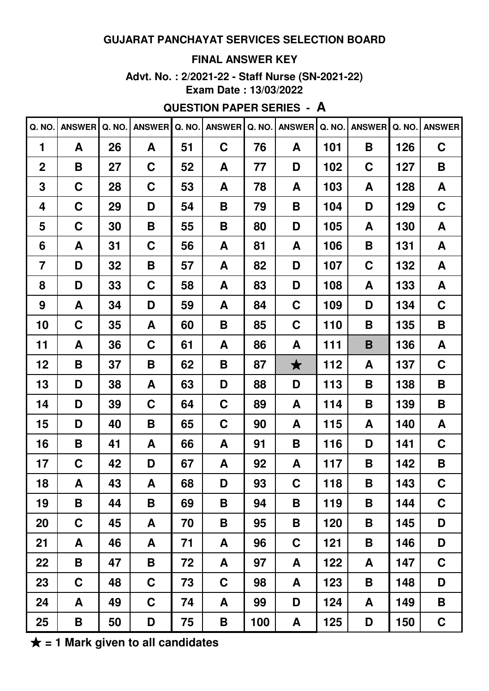## **FINAL ANSWER KEY**

**Advt. No. : 2/2021-22 - Staff Nurse (SN-2021-22) Exam Date : 13/03/2022**

# **QUESTION PAPER SERIES - A**

| Q. NO.         | <b>ANSWER</b> | Q. NO. | <b>ANSWER</b> | Q. NO. | <b>ANSWER</b> | Q. NO. | <b>ANSWER</b> | Q. NO. | <b>ANSWER</b> | Q. NO. | <b>ANSWER</b> |
|----------------|---------------|--------|---------------|--------|---------------|--------|---------------|--------|---------------|--------|---------------|
| 1              | A             | 26     | A             | 51     | $\mathbf C$   | 76     | A             | 101    | B             | 126    | $\mathbf C$   |
| $\overline{2}$ | B             | 27     | C             | 52     | A             | 77     | D             | 102    | C             | 127    | B             |
| 3              | C             | 28     | C             | 53     | A             | 78     | A             | 103    | A             | 128    | A             |
| 4              | C             | 29     | D             | 54     | B             | 79     | В             | 104    | D             | 129    | C             |
| 5              | C             | 30     | B             | 55     | B             | 80     | D             | 105    | A             | 130    | A             |
| 6              | A             | 31     | C             | 56     | A             | 81     | A             | 106    | B             | 131    | A             |
| $\overline{7}$ | D             | 32     | B             | 57     | A             | 82     | D             | 107    | C             | 132    | A             |
| 8              | D             | 33     | C             | 58     | A             | 83     | D             | 108    | A             | 133    | A             |
| 9              | A             | 34     | D             | 59     | A             | 84     | C             | 109    | D             | 134    | C             |
| 10             | C             | 35     | A             | 60     | B             | 85     | C             | 110    | B             | 135    | B             |
| 11             | A             | 36     | C             | 61     | A             | 86     | A             | 111    | B             | 136    | A             |
| 12             | B             | 37     | B             | 62     | B             | 87     | $\bigstar$    | 112    | A             | 137    | C             |
| 13             | D             | 38     | A             | 63     | D             | 88     | D             | 113    | B             | 138    | B             |
| 14             | D             | 39     | C             | 64     | C             | 89     | A             | 114    | B             | 139    | B             |
| 15             | D             | 40     | B             | 65     | C             | 90     | A             | 115    | A             | 140    | A             |
| 16             | B             | 41     | A             | 66     | A             | 91     | В             | 116    | D             | 141    | C             |
| 17             | C             | 42     | D             | 67     | A             | 92     | A             | 117    | B             | 142    | B             |
| 18             | A             | 43     | A             | 68     | D             | 93     | C             | 118    | B             | 143    | $\mathbf C$   |
| 19             | B             | 44     | B             | 69     | B             | 94     | Β             | 119    | B             | 144    | $\mathbf C$   |
| 20             | $\mathbf C$   | 45     | A             | 70     | B             | 95     | Β             | 120    | B             | 145    | D             |
| 21             | A             | 46     | A             | 71     | A             | 96     | C             | 121    | B             | 146    | D             |
| 22             | B             | 47     | B             | 72     | A             | 97     | A             | 122    | A             | 147    | $\mathbf C$   |
| 23             | $\mathbf C$   | 48     | $\mathbf C$   | 73     | C             | 98     | A             | 123    | B             | 148    | D             |
| 24             | A             | 49     | $\mathbf C$   | 74     | A             | 99     | D             | 124    | A             | 149    | B             |
| 25             | B             | 50     | D             | 75     | B             | 100    | A             | 125    | D             | 150    | $\mathbf C$   |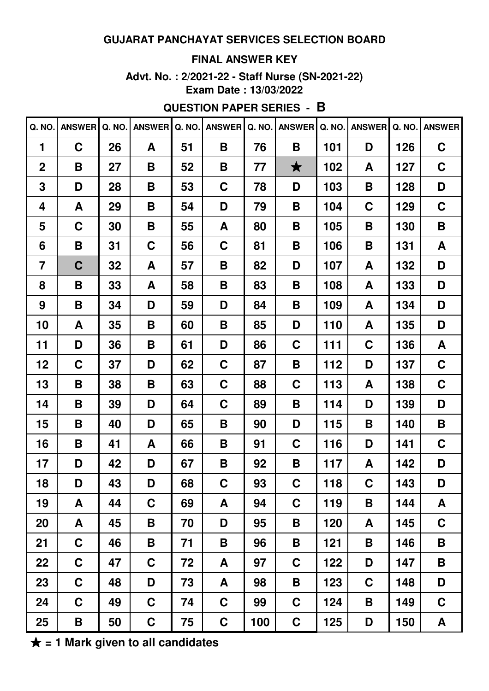## **FINAL ANSWER KEY**

**Advt. No. : 2/2021-22 - Staff Nurse (SN-2021-22) Exam Date : 13/03/2022**

# **QUESTION PAPER SERIES - B**

|                | Q. NO. ANSWER | Q. NO. | <b>ANSWER</b> | Q. NO. | <b>ANSWER</b> | Q. NO. | <b>ANSWER</b> | Q. NO. | <b>ANSWER</b> | Q. NO. | <b>ANSWER</b> |
|----------------|---------------|--------|---------------|--------|---------------|--------|---------------|--------|---------------|--------|---------------|
| 1              | $\mathbf C$   | 26     | A             | 51     | B             | 76     | Β             | 101    | D             | 126    | $\mathbf C$   |
| $\overline{2}$ | B             | 27     | B             | 52     | B             | 77     | $\bigstar$    | 102    | A             | 127    | $\mathbf C$   |
| 3              | D             | 28     | Β             | 53     | C             | 78     | D             | 103    | B             | 128    | D             |
| 4              | A             | 29     | Β             | 54     | D             | 79     | Β             | 104    | C             | 129    | C             |
| 5              | $\mathbf C$   | 30     | B             | 55     | A             | 80     | Β             | 105    | B             | 130    | B             |
| 6              | B             | 31     | $\mathbf C$   | 56     | C             | 81     | Β             | 106    | B             | 131    | A             |
| $\overline{7}$ | $\mathbf C$   | 32     | A             | 57     | Β             | 82     | D             | 107    | A             | 132    | D             |
| 8              | B             | 33     | A             | 58     | Β             | 83     | Β             | 108    | A             | 133    | D             |
| 9              | B             | 34     | D             | 59     | D             | 84     | Β             | 109    | A             | 134    | D             |
| 10             | A             | 35     | B             | 60     | Β             | 85     | D             | 110    | A             | 135    | D             |
| 11             | D             | 36     | Β             | 61     | D             | 86     | C             | 111    | C             | 136    | A             |
| 12             | C             | 37     | D             | 62     | C             | 87     | Β             | 112    | D             | 137    | C             |
| 13             | B             | 38     | Β             | 63     | C             | 88     | C             | 113    | A             | 138    | C             |
| 14             | B             | 39     | D             | 64     | C             | 89     | Β             | 114    | D             | 139    | D             |
| 15             | B             | 40     | D             | 65     | Β             | 90     | D             | 115    | B             | 140    | Β             |
| 16             | B             | 41     | A             | 66     | B             | 91     | C             | 116    | D             | 141    | C             |
| 17             | D             | 42     | D             | 67     | B             | 92     | Β             | 117    | A             | 142    | D             |
| 18             | D             | 43     | D             | 68     | C             | 93     | C             | 118    | $\mathbf C$   | 143    | D             |
| 19             | A             | 44     | C             | 69     | A             | 94     | C             | 119    | B             | 144    | A             |
| 20             | A             | 45     | B             | 70     | D             | 95     | B             | 120    | A             | 145    | $\mathbf C$   |
| 21             | $\mathbf C$   | 46     | B             | 71     | B             | 96     | B             | 121    | B             | 146    | B             |
| 22             | $\mathbf C$   | 47     | $\mathbf C$   | 72     | A             | 97     | C             | 122    | D             | 147    | B             |
| 23             | $\mathbf C$   | 48     | D             | 73     | A             | 98     | B             | 123    | $\mathbf C$   | 148    | D             |
| 24             | $\mathbf C$   | 49     | $\mathbf C$   | 74     | C             | 99     | C             | 124    | B             | 149    | $\mathbf C$   |
| 25             | B             | 50     | $\mathbf C$   | 75     | $\mathbf C$   | 100    | $\mathbf C$   | 125    | D             | 150    | $\mathsf{A}$  |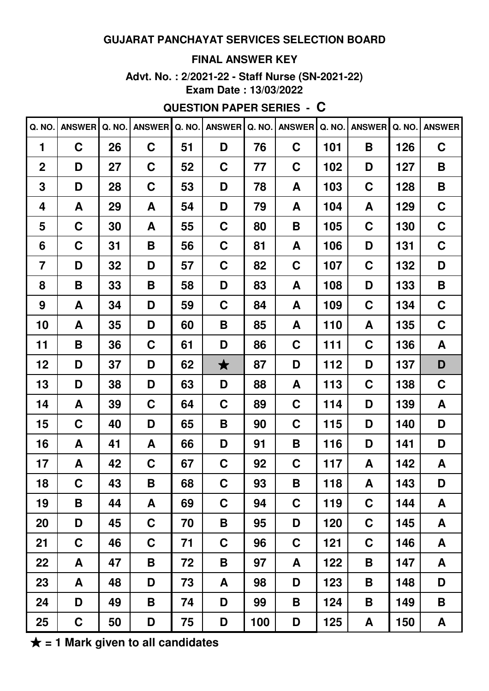### **FINAL ANSWER KEY**

**Advt. No. : 2/2021-22 - Staff Nurse (SN-2021-22) Exam Date : 13/03/2022**

# **QUESTION PAPER SERIES - C**

| Q. NO.         | <b>ANSWER</b> | Q. NO. | <b>ANSWER</b> | Q. NO. | <b>ANSWER</b> | Q. NO. | <b>ANSWER</b> | Q. NO. | <b>ANSWER</b> | Q. NO. | <b>ANSWER</b> |
|----------------|---------------|--------|---------------|--------|---------------|--------|---------------|--------|---------------|--------|---------------|
| 1              | $\mathbf C$   | 26     | C             | 51     | D             | 76     | C             | 101    | B             | 126    | $\mathbf C$   |
| $\overline{2}$ | D             | 27     | $\mathbf C$   | 52     | C             | 77     | C             | 102    | D             | 127    | B             |
| 3              | D             | 28     | C             | 53     | D             | 78     | A             | 103    | C             | 128    | B             |
| 4              | A             | 29     | A             | 54     | D             | 79     | A             | 104    | A             | 129    | C             |
| 5              | $\mathbf C$   | 30     | A             | 55     | C             | 80     | В             | 105    | C             | 130    | $\mathbf C$   |
| 6              | C             | 31     | B             | 56     | C             | 81     | A             | 106    | D             | 131    | C             |
| $\overline{7}$ | D             | 32     | D             | 57     | C             | 82     | C             | 107    | C             | 132    | D             |
| 8              | B             | 33     | B             | 58     | D             | 83     | A             | 108    | D             | 133    | B             |
| 9              | A             | 34     | D             | 59     | C             | 84     | A             | 109    | C             | 134    | C             |
| 10             | A             | 35     | D             | 60     | B             | 85     | A             | 110    | A             | 135    | C             |
| 11             | B             | 36     | C             | 61     | D             | 86     | C             | 111    | C             | 136    | A             |
| 12             | D             | 37     | D             | 62     | $\bigstar$    | 87     | D             | 112    | D             | 137    | D             |
| 13             | D             | 38     | D             | 63     | D             | 88     | A             | 113    | C             | 138    | C             |
| 14             | A             | 39     | C             | 64     | C             | 89     | C             | 114    | D             | 139    | A             |
| 15             | $\mathbf C$   | 40     | D             | 65     | B             | 90     | C             | 115    | D             | 140    | D             |
| 16             | A             | 41     | A             | 66     | D             | 91     | В             | 116    | D             | 141    | D             |
| 17             | A             | 42     | C             | 67     | C             | 92     | C             | 117    | A             | 142    | A             |
| 18             | $\mathbf C$   | 43     | B             | 68     | $\mathbf C$   | 93     | $\mathsf B$   | 118    | A             | 143    | D             |
| 19             | B             | 44     | A             | 69     | C             | 94     | C             | 119    | $\mathbf C$   | 144    | A             |
| 20             | D             | 45     | $\mathbf C$   | 70     | B             | 95     | D             | 120    | $\mathbf C$   | 145    | A             |
| 21             | $\mathbf C$   | 46     | $\mathbf C$   | 71     | C             | 96     | C             | 121    | $\mathbf C$   | 146    | A             |
| 22             | A             | 47     | B             | 72     | B             | 97     | A             | 122    | B             | 147    | A             |
| 23             | A             | 48     | D             | 73     | A             | 98     | D             | 123    | B             | 148    | D             |
| 24             | D             | 49     | B             | 74     | D             | 99     | Β             | 124    | B             | 149    | B             |
| 25             | $\mathbf C$   | 50     | D             | 75     | D             | 100    | D             | 125    | A             | 150    | A             |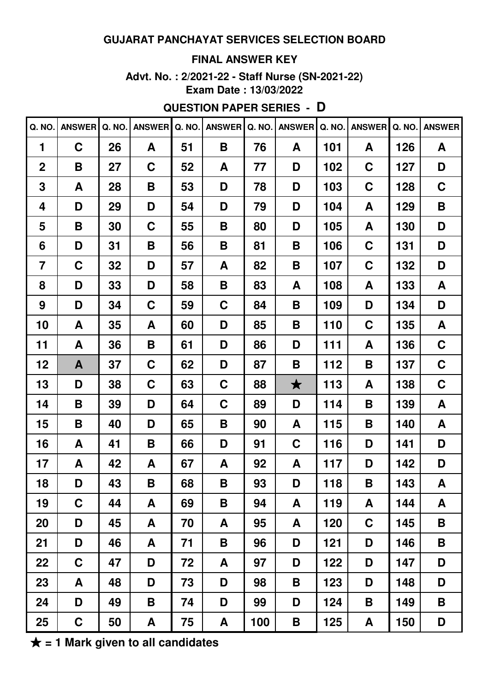## **FINAL ANSWER KEY**

**Advt. No. : 2/2021-22 - Staff Nurse (SN-2021-22) Exam Date : 13/03/2022**

# **QUESTION PAPER SERIES - D**

| Q. NO.         | <b>ANSWER</b> | Q. NO. | <b>ANSWER</b> | Q. NO. | <b>ANSWER</b> | Q. NO. | <b>ANSWER</b> | Q. NO. | <b>ANSWER</b> | Q. NO. | <b>ANSWER</b> |
|----------------|---------------|--------|---------------|--------|---------------|--------|---------------|--------|---------------|--------|---------------|
| 1              | $\mathbf C$   | 26     | A             | 51     | B             | 76     | A             | 101    | A             | 126    | A             |
| $\mathbf 2$    | B             | 27     | $\mathbf C$   | 52     | A             | 77     | D             | 102    | C             | 127    | D             |
| 3              | A             | 28     | B             | 53     | D             | 78     | D             | 103    | C             | 128    | C             |
| 4              | D             | 29     | D             | 54     | D             | 79     | D             | 104    | A             | 129    | B             |
| 5              | B             | 30     | $\mathbf C$   | 55     | B             | 80     | D             | 105    | A             | 130    | D             |
| 6              | D             | 31     | Β             | 56     | B             | 81     | B             | 106    | C             | 131    | D             |
| $\overline{7}$ | C             | 32     | D             | 57     | A             | 82     | В             | 107    | C             | 132    | D             |
| 8              | D             | 33     | D             | 58     | B             | 83     | A             | 108    | A             | 133    | A             |
| 9              | D             | 34     | C             | 59     | C             | 84     | В             | 109    | D             | 134    | D             |
| 10             | A             | 35     | A             | 60     | D             | 85     | B             | 110    | C             | 135    | A             |
| 11             | A             | 36     | B             | 61     | D             | 86     | D             | 111    | A             | 136    | C             |
| 12             | A             | 37     | C             | 62     | D             | 87     | B             | 112    | B             | 137    | $\mathbf C$   |
| 13             | D             | 38     | C             | 63     | C             | 88     | $\bigstar$    | 113    | A             | 138    | C             |
| 14             | B             | 39     | D             | 64     | C             | 89     | D             | 114    | B             | 139    | A             |
| 15             | B             | 40     | D             | 65     | B             | 90     | A             | 115    | B             | 140    | A             |
| 16             | A             | 41     | B             | 66     | D             | 91     | C             | 116    | D             | 141    | D             |
| 17             | A             | 42     | A             | 67     | A             | 92     | A             | 117    | D             | 142    | D             |
| 18             | D             | 43     | B             | 68     | B             | 93     | D             | 118    | B             | 143    | A             |
| 19             | $\mathbf C$   | 44     | A             | 69     | Β             | 94     | A             | 119    | A             | 144    | A             |
| 20             | D             | 45     | A             | 70     | A             | 95     | A             | 120    | C             | 145    | B             |
| 21             | D             | 46     | A             | 71     | B             | 96     | D             | 121    | D             | 146    | B             |
| 22             | $\mathbf C$   | 47     | D             | 72     | A             | 97     | D             | 122    | D             | 147    | D             |
| 23             | A             | 48     | D             | 73     | D             | 98     | Β             | 123    | D             | 148    | D             |
| 24             | D             | 49     | B             | 74     | D             | 99     | D             | 124    | B             | 149    | B             |
| 25             | $\mathbf C$   | 50     | A             | 75     | A             | 100    | Β             | 125    | A             | 150    | D             |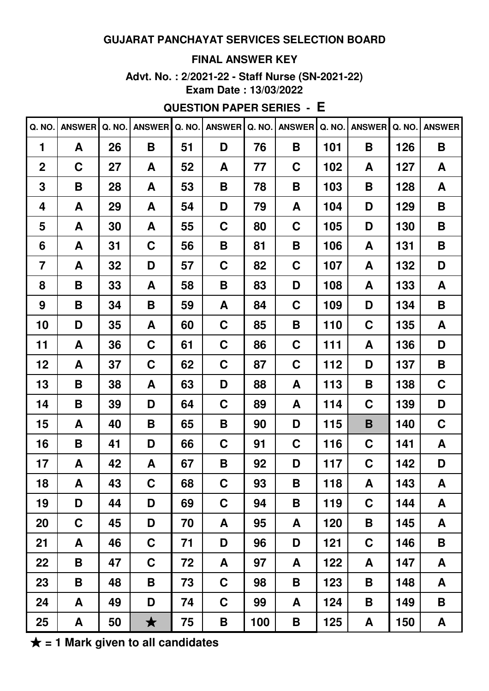### **FINAL ANSWER KEY**

**Advt. No. : 2/2021-22 - Staff Nurse (SN-2021-22) Exam Date : 13/03/2022**

# **QUESTION PAPER SERIES - E**

| Q. NO.         | ANSWER Q. NO. |    | <b>ANSWER</b> | Q. NO. | <b>ANSWER</b> |     | Q. NO.   ANSWER | Q. NO. | <b>ANSWER</b> | Q. NO. | <b>ANSWER</b> |
|----------------|---------------|----|---------------|--------|---------------|-----|-----------------|--------|---------------|--------|---------------|
| 1              | A             | 26 | B             | 51     | D             | 76  | B               | 101    | B             | 126    | B             |
| $\mathbf 2$    | C             | 27 | A             | 52     | A             | 77  | C               | 102    | A             | 127    | A             |
| 3              | B             | 28 | A             | 53     | B             | 78  | Β               | 103    | B             | 128    | A             |
| 4              | A             | 29 | A             | 54     | D             | 79  | A               | 104    | D             | 129    | B             |
| 5              | A             | 30 | A             | 55     | C             | 80  | C               | 105    | D             | 130    | B             |
| 6              | A             | 31 | C             | 56     | B             | 81  | Β               | 106    | A             | 131    | B             |
| $\overline{7}$ | A             | 32 | D             | 57     | C             | 82  | C               | 107    | A             | 132    | D             |
| 8              | B             | 33 | A             | 58     | B             | 83  | D               | 108    | A             | 133    | A             |
| 9              | B             | 34 | Β             | 59     | A             | 84  | C               | 109    | D             | 134    | B             |
| 10             | D             | 35 | A             | 60     | C             | 85  | Β               | 110    | C             | 135    | A             |
| 11             | A             | 36 | $\mathbf C$   | 61     | C             | 86  | C               | 111    | A             | 136    | D             |
| 12             | A             | 37 | $\mathbf C$   | 62     | C             | 87  | C               | 112    | D             | 137    | B             |
| 13             | B             | 38 | A             | 63     | D             | 88  | A               | 113    | B             | 138    | C             |
| 14             | B             | 39 | D             | 64     | C             | 89  | A               | 114    | C             | 139    | D             |
| 15             | A             | 40 | B             | 65     | B             | 90  | D               | 115    | B             | 140    | C             |
| 16             | B             | 41 | D             | 66     | C             | 91  | C               | 116    | C             | 141    | A             |
| 17             | A             | 42 | A             | 67     | B             | 92  | D               | 117    | C             | 142    | D             |
| 18             | A             | 43 | C             | 68     | C             | 93  | B               | 118    | A             | 143    | A             |
| 19             | D             | 44 | D             | 69     | C             | 94  | B               | 119    | C             | 144    | A             |
| 20             | C             | 45 | D             | 70     | A             | 95  | A               | 120    | B             | 145    | A             |
| 21             | A             | 46 | $\mathbf C$   | 71     | D             | 96  | D               | 121    | C             | 146    | B             |
| 22             | B             | 47 | $\mathbf C$   | 72     | A             | 97  | A               | 122    | A             | 147    | A             |
| 23             | B             | 48 | B             | 73     | $\mathbf C$   | 98  | B               | 123    | B             | 148    | A             |
| 24             | A             | 49 | D             | 74     | $\mathbf C$   | 99  | A               | 124    | B             | 149    | B             |
| 25             | A             | 50 | $\bigstar$    | 75     | B             | 100 | B               | 125    | A             | 150    | $\mathbf{A}$  |